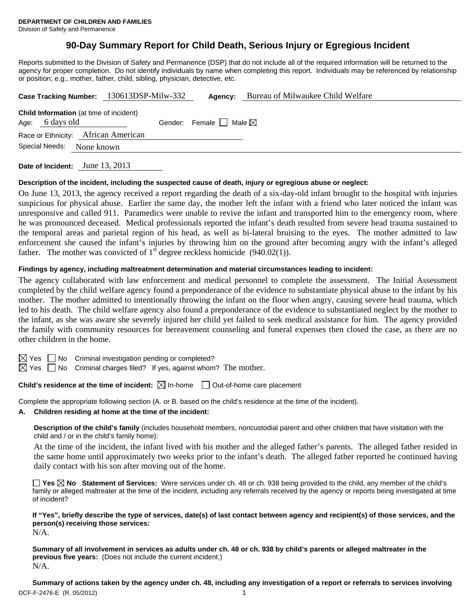# **90-Day Summary Report for Child Death, Serious Injury or Egregious Incident**

Reports submitted to the Division of Safety and Permanence (DSP) that do not include all of the required information will be returned to the agency for proper completion. Do not identify individuals by name when completing this report. Individuals may be referenced by relationship or position; e.g., mother, father, child, sibling, physician, detective, etc.

|                 |                                                | Case Tracking Number: 130613DSP-Milw-332 | Agency:                                | Bureau of Milwaukee Child Welfare |
|-----------------|------------------------------------------------|------------------------------------------|----------------------------------------|-----------------------------------|
| Age: 6 days old | <b>Child Information</b> (at time of incident) |                                          | Gender: Female $\Box$ Male $\boxtimes$ |                                   |
|                 | Race or Ethnicity: African American            |                                          |                                        |                                   |
| Special Needs:  | None known                                     |                                          |                                        |                                   |

**Date of Incident:** June 13, 2013

### **Description of the incident, including the suspected cause of death, injury or egregious abuse or neglect:**

On June 13, 2013, the agency received a report regarding the death of a six-day-old infant brought to the hospital with injuries suspicious for physical abuse. Earlier the same day, the mother left the infant with a friend who later noticed the infant was unresponsive and called 911. Paramedics were unable to revive the infant and transported him to the emergency room, where he was pronounced deceased. Medical professionals reported the infant's death resulted from severe head trauma sustained to the temporal areas and parietal region of his head, as well as bi-lateral bruising to the eyes. The mother admitted to law enforcement she caused the infant's injuries by throwing him on the ground after becoming angry with the infant's alleged father. The mother was convicted of  $1<sup>st</sup>$  degree reckless homicide (940.02(1)).

## **Findings by agency, including maltreatment determination and material circumstances leading to incident:**

The agency collaborated with law enforcement and medical personnel to complete the assessment. The Initial Assessment completed by the child welfare agency found a preponderance of the evidence to substantiate physical abuse to the infant by his mother. The mother admitted to intentionally throwing the infant on the floor when angry, causing severe head trauma, which led to his death. The child welfare agency also found a preponderance of the evidence to substantiated neglect by the mother to the infant, as she was aware she severely injured her child yet failed to seek medical assistance for him. The agency provided the family with community resources for bereavement counseling and funeral expenses then closed the case, as there are no other children in the home.

 $\boxtimes$  Yes  $\Box$  No Criminal investigation pending or completed?

 $\boxtimes$  Yes  $\Box$  No Criminal charges filed? If yes, against whom? The mother.

# **Child's residence at the time of incident:**  $\boxtimes$  In-home  $\Box$  Out-of-home care placement

Complete the appropriate following section (A. or B. based on the child's residence at the time of the incident).

# **A. Children residing at home at the time of the incident:**

**Description of the child's family** (includes household members, noncustodial parent and other children that have visitation with the child and / or in the child's family home):

 At the time of the incident, the infant lived with his mother and the alleged father's parents. The alleged father resided in the same home until approximately two weeks prior to the infant's death. The alleged father reported he continued having daily contact with his son after moving out of the home.

**Yes No Statement of Services:** Were services under ch. 48 or ch. 938 being provided to the child, any member of the child's family or alleged maltreater at the time of the incident, including any referrals received by the agency or reports being investigated at time of incident?

**If "Yes", briefly describe the type of services, date(s) of last contact between agency and recipient(s) of those services, and the person(s) receiving those services:** 

N/A.

**Summary of all involvement in services as adults under ch. 48 or ch. 938 by child's parents or alleged maltreater in the previous five years:** (Does not include the current incident.) N/A.

DCF-F-2476-E (R. 05/2012) 1 **Summary of actions taken by the agency under ch. 48, including any investigation of a report or referrals to services involving**